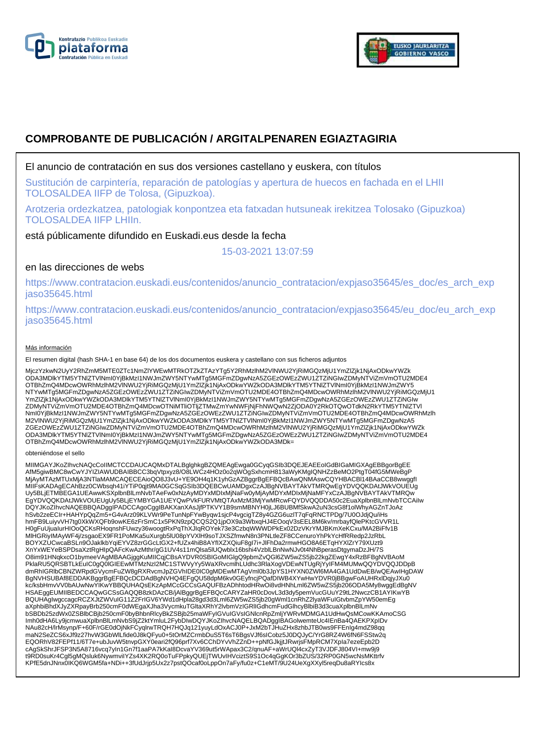



# **COMPROBANTE DE PUBLICACIÓN / ARGITALPENAREN EGIAZTAGIRIA**

### El anuncio de contratación en sus dos versiones castellano y euskera, con títulos

Sustitución de carpintería, reparación de patologías y apertura de huecos en fachada en el LHII TOLOSALDEA IIFP de Tolosa, (Gipuzkoa).

Arotzeria ordezkatzea, patologiak konpontzea eta fatxadan hutsuneak irekitzea Tolosako (Gipuzkoa) TOLOSALDEA IIFP LHIIn.

está públicamente difundido en Euskadi.eus desde la fecha

15-03-2021 13:07:59

## en las direcciones de webs

https://www.contratacion.euskadi.eus/contenidos/anuncio\_contratacion/expjaso35645/es\_doc/es\_arch\_exp jaso35645.html

https://www.contratacion.euskadi.eus/contenidos/anuncio\_contratacion/expjaso35645/eu\_doc/eu\_arch\_exp jaso35645.html

#### Más información

El resumen digital (hash SHA-1 en base 64) de los dos documentos euskera y castellano con sus ficheros adjuntos

MjczYzkwN2UyY2RhZmM5MTE0ZTc1NmZlYWEwMTRkOTZkZTAzYTg5Y2RhMzlhM2VlNWU2YjRiMGQzMjU1YmZlZjk1NjAxODkwYWZk ODA3MDlkYTM5YTNlZTVlNmI0YjBkMzI1NWJmZWY5NTYwMTg5MGFmZDgwNzA5ZGEzOWEzZWU1ZTZiNGIwZDMyNTViZmVmOTU2MDE4 OTBhZmQ4MDcwOWRhMzlhM2VlNWU2YjRiMGQzMjU1YmZlZjk1NjAxODkwYWZkODA3MDlkYTM5YTNlZTVlNml0YjBkMzI1NWJmZWY5<br>NTYwMTg5MGFmZDgwNzA5ZGEzOWEzZWU1ZTZiNGIwZDMyNTViZmVmOTU2MDE4OTBhZmQ4MDcwOWRhMzlhM2VlNWU2YjRiMGQzMjU1 YmZlZjk1NjAxODkwYWZkODA3MDlkYTM5YTNlZTVlNmI0YjBkMzI1NWJmZWY5NTYwMTg5MGFmZDgwNzA5ZGEzOWEzZWU1ZTZiNGIw ZDMyNTViZmVmOTU2MDE4OTBhZmQ4MDcwOTNiMTliOTljZTMwZmYwNWFjNjFhNWQwN2ZjODA0Y2RkOTQwOTdkN2RkYTM5YTNlZTVl NmI0YjBkMzI1NWJmZWY5NTYwMTg5MGFmZDgwNzA5ZGEzOWEzZWU1ZTZiNGIwZDMyNTViZmVmOTU2MDE4OTBhZmQ4MDcwOWRhMzlh M2VlNWU2YjRiMGQzMjU1YmZlZjk1NjAxODkwYWZkODA3MDlkYTM5YTNlZTVlNmI0YjBkMzI1NWJmZWY5NTYwMTg5MGFmZDgwNzA5 ZGEzOWEzZWU1ZTZiNGIwZDMyNTViZmVmOTU2MDE4OTBhZmQ4MDcwOWRhMzlhM2VlNWU2YjRiMGQzMjU1YmZlZjk1NjAxODkwYWZk ODA3MDlkYTM5YTNlZTVlNmI0YjBkMzI1NWJmZWY5NTYwMTg5MGFmZDgwNzA5ZGEzOWEzZWU1ZTZiNGIwZDMyNTViZmVmOTU2MDE4 OTBhZmQ4MDcwOWRhMzlhM2VlNWU2YjRiMGQzMjU1YmZlZjk1NjAxODkwYWZkODA3MDk=

#### obteniéndose el sello

MIIMGAYJKoZIhvcNAQcCoIIMCTCCDAUCAQMxDTALBglghkgBZQMEAgEwga0GCyqGSIb3DQEJEAEEoIGdBIGaMIGXAgEBBgorBgEE<br>AfM5giwBMC8wCwYJYIZIAWUDBAIBBCC3bqVtpxyz8/O8LWCz4HOz0o2qWOgSxhcmH813aWyKMgIQNHZzBeMO2PtgT04fG5MWeBgP MjAyMTAzMTUxMjA3NTlaMAMCAQECEAioQO8J3vU+YE9OH4q1K1yhGzAZBggrBgEFBQcBAwQNMAswCQYHBACBl14BAaCCB8wwggfI MIIFsKADAgECAhBzz0CWbsqh41iYTiP0qjt9MA0GCSqGSIb3DQEBCwUAMDgxCzAJBgNVBAYTAkVTMRQwEgYDVQQKDAtJWkVOUEUg Uy5BLjETMBEGA1UEAwwKSXplbnBlLmNvbTAeFw0xNzAyMDYxMDIxMjNaFw0yMjAyMDYxMDIxMjNaMFYxCzAJBgNVBAYTAkVTMRQw EgYDVQQKDAtJWkVOUEUgUy5BLjEYMBYGA1UEYQwPVkFURVMtQTAxMzM3MjYwMRcwFQYDVQQDDA50c2EuaXplbnBlLmNvbTCCAiIw DQYJKoZIhvcNAQEBBQADggIPADCCAgoCggIBAKXanXAsJjfPTKVY1B9smMBNYH0jLJ6BUBMfSkwA2uN3csG8f1olWhyAGZnTJoAz hSvb2zeECIr+HAHYpQqZm5+G4vArz09KLVWr9PeTunNpFYwByqw1sjcP4vgcigTZ8y4GZG6uzlT7qFqRNCTPDg/7U0OJdjQu/iHs hmFB9LuiyvVH7tg0XkWXQFb9owKE6zFrSmC1x5PKN9zpQCQS2Q1jpOX9a3WbxqHJ4EOoqV3sEEL8M6kv/mrbayfQlePKtcGVVR1L H0gFuUjuaIurHIOoQCKsRHoqnshFUwzy36woogtRxPqThXJIqROYek73e3CzbqWWWDPkEx02DzVKrYMJBKmXeKCxu/MA2BiFfv1B MlHGRiyIMAyWF4j/zsgaoEX9FR1PoMKa5uXurgb5lU08pYVXlH9soTJXSZfmwN8n3PNLtleZF8CCenuroYhPkYcHfRRedp2JzRbL BOYXZUCwcaBSLn9OJaklkbYqiEYVZ8zrGGcLtGX2+fUZx4hiB8AYfIXZXQiuF8gI7i+JlFhDa2rmwHGO8A6ETqHYXlZrY79XUzt9 XnYxWEYeBSPDsaXztRgHIpQAFcKwAzMthr/gG1UV4s11mQlsa5lUQwblx16bshi4VzblLBnNwNJv0t4NhBperasDtgymaDzJH/7S O8im91HNqkxcO1bymeeVAgMBAAGjggKuMIICqjCBsAYDVR0SBIGoMIGlgQ9pbmZvQGl6ZW5wZS5jb22kgZEwgY4xRzBFBgNVBAoM PklaRU5QRSBTLkEuIC0gQ0lGIEEwMTMzNzI2MC1STWVyYy5WaXRvcmlhLUdhc3RlaXogVDEwNTUgRjYyIFM4MUMwQQYDVQQJDDpB dmRhIGRlbCBNZWRpdGVycmFuZW8gRXRvcmJpZGVhIDE0IC0gMDEwMTAgVml0b3JpYS1HYXN0ZWl6MA4GA1UdDwEB/wQEAwIHgDAW BgNVHSUBAf8EDDAKBggrBgEFBQcDCDAdBgNVHQ4EFgQU58dpM6kv0GEyfncjPQafDIWB4XYwHwYDVR0jBBgwFoAUHRxlDqjyJXu0<br>kc/ksbHmvVV0bAUwNwYIKwYBBQUHAQsEKzApMCcGCCsGAQUFBzADhhtodHRwOi8vdHNhLml6ZW5wZS5jb206ODA5My8wggEdBgNV HSAEggEUMIIBEDCCAQwGCSsGAQQB8zkDAzCB/jAlBggrBgEFBQcCARYZaHR0cDovL3d3dy5pemVucGUuY29tL2NwczCB1AYIKwYB BQUHAgIwgccagcRCZXJtZWVuIG11Z2FrIGV6YWd1dHpla28gd3d3Lml6ZW5wZS5jb20gWml1cnRhZ2lyaWFuIGtvbmZpYW50emEg aXphbiBhdXJyZXRpayBrb250cmF0dWEgaXJha3VycmkuTGltaXRhY2lvbmVzIGRlIGdhcmFudGlhcyBlbiB3d3cuaXplbnBlLmNv bSBDb25zdWx0ZSBlbCBjb250cmF0byBhbnRlcyBkZSBjb25maWFyIGVuIGVsIGNlcnRpZmljYWRvMDMGA1UdHwQsMCowKKAmoCSG Imh0dHA6Ly9jcmwuaXplbnBlLmNvbS9jZ2ktYmluL2FybDIwDQYJKoZIhvcNAQELBQADggIBAGolwemteUc4IEnBa4QAEKPXpIDv NAu82cH/lrMsynp/F+60F/rGE0dOjNkFCyqlrwTRQH7HQJq121yuyLdOxACJ0P+JxM2bTJHuZHx8zhbJTB0ws9FFEnIg4mdZ98qq maN2SeZCS6xJf9z27hvW3GbWlLfide0J8kQFyu0+5tOrMZCrmbDuS5T6sT6BgsVJf6sICobz5J0DQJyC/YrG8RZ4W6fN6FSStw2q EQORhV82FEPf11/6T7e+ubJuvW5tnvpGXY0eari2fQ96prf7Xv6CChDYvVhZZnD++pNfGJkjjtJRwrjsFMpRCM7Xpla7ezeEpb2D<br>cAgSkShrJFSP3N5A8716vcq7yIn1Gn7f1aaPA7kKaI8DcvaYV369ut5rWApax3C2/qnuAF+aWrUQl4cxZyT3VJDFJ804VI+mw9j9<br>t9RD0suKr4Cgl5gMQslu KPfE5dnJNnx0IKQ6WGM5fa+NDi++3fUdJrjp5Ux2z7pstQOcaf0oLppOn7aFy/fu0z+C1eMT/9U24UeXgXXyl5reqDu8aRYIcs8x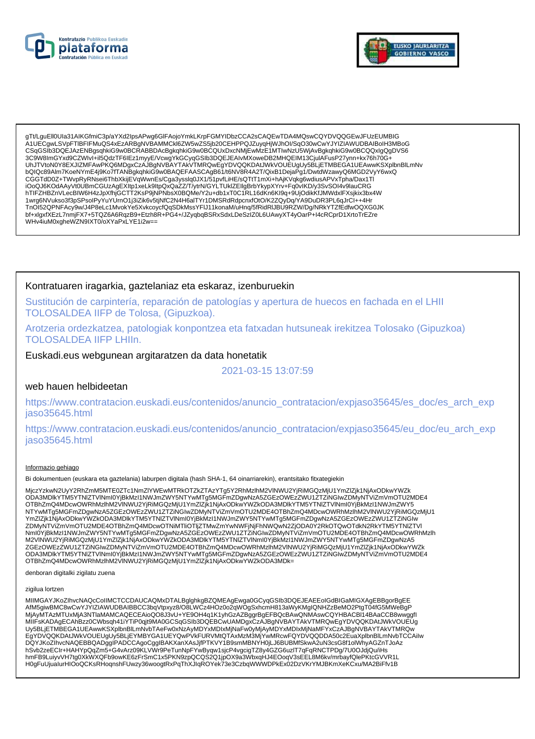



gTt/LguEll0Ula31AlKGfmiC3p/aYXd2lpsAPwg6GlFAojoYmkLKrpFGMYIDbzCCA2sCAQEwTDA4MQswCQYDVQQGEwJFUzEUMBIG A1UECqwLSVpFTIBFIFMuQS4xEzARBqNVBAMMCKI6ZW5wZS5ib20CEHPPQJZuyqHjWJhOI/SqO30wCwYJYIZIAWUDBAIBoIH3MBoG CSqGSIb3DQEJAzENBgsqhkiG9w0BCRABBDAcBgkqhkiG9w0BCQUxDxcNMjEwMzE1MTIwNzU5WjAvBgkqhkiG9w0BCQQxIgQgDVS6 3C9W8ImGYxd9CZWIvI+il5QdzTF6IEz1myyE/VcwgYkGCyqGSIb3DQEJEAIvMXoweDB2MHQEIM13CjuIAFusP27ynn+kx76h70G+ UhJTVtoN0Y8EXJIZMFAwPKQ6MDgxCzAJBgNVBAYTAkVTMRQwEgYDVQQKDAtJWkVOUEUgUy5BLjETMBEGA1UEAwwKSXplbnBlLmNv bQIQc89Alm7KoeNYmE4j9Ko7fTANBgkqhkiG9w0BAQEFAASCAgB61/t6NV8R4A2T/QixB1DejaPg1/DwtdWzawyQ6MGD2VyY6wxQ CGGTdD0Z+TWvpRyRNsei6ThbXkijEVqWwnEs/Cga3ysslq0JX1/51pvfLiHE/sQTtT1mXi+hAjKVqkg6wdiusAPVxTpha/Dax1Tl<br>iOoQJ6KOdAAyVt0UBmCGUzAgEXItp1xeLk9ltpQxQaZZ/T/ytrN/GYLTUkIZEIIgBrbYkypXYrv+Fq0vlKD/y3SvSOl4v9lauCRG hTIFZHBZnVLecBIW6H4zJpXfhjGCTT2KsP9jNPNbsX0BQMe/Y2u+db1xT0C1RL16dKn6Kl9q+9UjOdikKfJMWdxlFXsjkix3bx4W 1wrg6NVukso3f3pSPsolPyYuYUrnO1j3iZik6v5tjNfC2N4H6alTYr1DMSRdRdpcnxfOtO/K2ZQyDq/YA9DuDR3PL6qJrCl++4Hr TnOI52QPNFAcy9w/J4P8eLc1MvokYe5XvkcoycfQqSDkMssYFIJ11konaM/uHnq/5fRidRIJBU9RZW/Dg/NRkYTZfEdfwOQXG0JK bf+xlgxfXEzL7nmjFX7+5TQZ6A6RqzB9+Etzh8R+PG4+/JZyqbqBSRxSdxLDeSzIZ0L6UAwyXT4yOarP+I4cRCprD1XrtoTrEZre WHv4iuM0xgheWZN9IXT0/oXYaPxLYE1i2w==

### Kontratuaren iragarkia, gaztelaniaz eta eskaraz, izenburuekin

Sustitución de carpintería, reparación de patologías y apertura de huecos en fachada en el LHII TOLOSALDEA IIFP de Tolosa, (Gipuzkoa).

Arotzeria ordezkatzea, patologiak konpontzea eta fatxadan hutsuneak irekitzea Tolosako (Gipuzkoa) **TOLOSALDEA IIFP LHIIn.** 

### Euskadi.eus webgunean argitaratzen da data honetatik

2021-03-15 13:07:59

### web hauen helbideetan

https://www.contratacion.euskadi.eus/contenidos/anuncio\_contratacion/expjaso35645/es\_doc/es\_arch\_exp jaso35645.html

https://www.contratacion.euskadi.eus/contenidos/anuncio contratacion/expjaso35645/eu doc/eu arch exp jaso35645.html

#### Informazio gehiago

Bi dokumentuen (euskara eta gaztelania) laburpen digitala (hash SHA-1, 64 oinarriarekin), erantsitako fitxategiekin

MjczYzkwN2UyY2RhZmM5MTE0ZTc1NmZlYWEwMTRkOTZkZTAzYTg5Y2RhMzlhM2VINWU2YjRiMGQzMjU1YmZlZjk1NjAxODkwYWZk ODA3MDIkYTM5YTNIZTVINmI0YjBkMzI1NWJmZWY5NTYwMTg5MGFmZDgwNzA5ZGEzOWEzZWU1ZTZINGIwZDMyNTViZmVmOTU2MDE4 OTBhZmQ4MDcwOWRhMzlhM2VINWU2YjRiMGQzMjU1YmZlZjK1NjAxODkwYWZkODA3MDlkYTM5YTNIZTVlNml0YjBkMzl1NWJmZWY5 NTYwMTg5MGFmZDgwNzA5ZGEzOWEzZWU1ZTZiNGIwZDMyNTViZmVmOTU2MDE4OTBhZmQ4MDcwOWRhMzIhM2VINWU2YjRiMGQzMjU1 YmZlZjk1NjAxODkwYWZkODA3MDlkYTM5YTNIZTVINmI0YjBkMzI1NWJmZWY5NTYwMTg5MGFmZDgwNzA5ZGEzOWEzZWU1ZTZiNGIw ZDMyNTViZmVmOTU2MDE4OTBhZmQ4MDcwOTNiMTliOTIjZTMwZmYwNWFjNjFhNWQwN2ZjODA0Y2RkOTQwOTdkN2RkYTM5YTNIZTVI ZGEzOWEzZWU1ZTZIŃGIwZDMyNTVIZmVmOTU2MDE4OTBhZmQ4MDcwOWRhMzIhM2VINWU2YjRiMGQzMjU1YmZlZjk1NjAxODkwYWZk ODA3MDlkYTM5YTNIZTVINmI0YjBkMzI1NWJmZWY5NTYwMTg5MGFmZDgwNzA5ZGEzOWEzZWU1ZTZiNGIwZDMyNTViZmVmOTU2MDE4 OTBhZmQ4MDcwOWRhMzlhM2VINWU2YjRiMGQzMjU1YmZlZjK1NjAxODkwYWZkODA3MDk=

denboran digitalki zigilatu zuena

#### zigilua lortzen

MIIMGAYJKoZIhvcNAQcCoIIMCTCCDAUCAQMxDTALBglghkgBZQMEAgEwga0GCyqGSIb3DQEJEAEEoIGdBIGaMIGXAgEBBgorBgEE AfM5giwBMC8wCwYJYIZIAWUDBAIBBCC3bqVtpxyz8/O8LWCz4HOz0o2qWOgSxhcmH813aWyKMgIQNHZzBeMO2PtgT04fG5MWeBgP MjAyMTAzMTUxMjA3NTlaMAMCAQECEAioQO8J3vU+YE9OH4q1K1yhGzAZBggrBgEFBQcBAwQNMAswCQYHBACBI14BAaCCB8wwggfl MIIFsKADAgECAhBzz0CWbsqh41iYTiP0qjt9MA0GCSqGSlb3DQEBCwUAMDgxCzAJBgNVBAYTAkVTMRQwEgYDVQQKDAtJWkVOUEUg Uy5BLjETMBEGA1UEAwwKSXplbnBlLmNvbTAeFw0xNzAyMDYxMDIxMjNaFw0yMjAyMDYxMDIxMjNaMFYxCzAJBgNVBAYTAkVTMRQw EgYDVQQKDAtJWkVOUEUgUy5BLJEYMBYGA1UEYQwPVkFURVMtQTAxMzM3MjYwMRcwFQYDVQQDDA50c2EuaXplbnBlLmNvbTCCAilw DQYJKoZlhvcNAQEBBQADggIPADCCAgoCggIBAKXanXAsJjfPTKVY1B9smMBNYH0jLJ6BUBMfSkwA2uN3csG8f1olWhyAGZnTJoAz hSvb2zeECIr+HAHYpQqZm5+G4vArz09KLVWr9PeTunNpFYwByqw1sjcP4vgcigTZ8y4GZG6uzIT7qFqRNCTPDg/7U0OJdjQu/iHs hmFB9LuiyvVH7tg0XkWXQFb9owKE6zFrSmC1x5PKN9zpQCQS2Q1jpOX9a3WbxqHJ4EOoqV3sEEL8M6kv/mrbayfQlePKtcGVVR1L H0gFuUjualurHIOoQCKsRHoqnshFUwzy36woogtRxPqThXJlqROYek73e3CzbqWWWDPkEx02DzVKrYMJBKmXeKCxu/MA2BiFfv1B